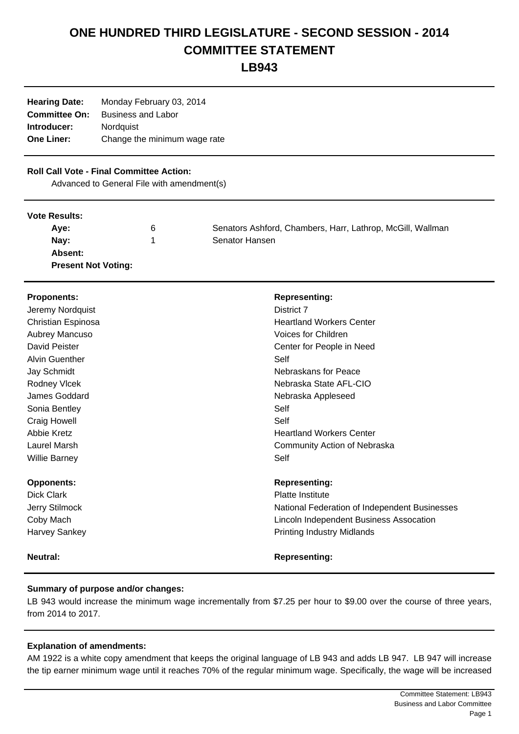# **ONE HUNDRED THIRD LEGISLATURE - SECOND SESSION - 2014 COMMITTEE STATEMENT**

**LB943**

| <b>Hearing Date:</b> | Monday February 03, 2014     |
|----------------------|------------------------------|
| <b>Committee On:</b> | <b>Business and Labor</b>    |
| Introducer:          | Nordquist                    |
| <b>One Liner:</b>    | Change the minimum wage rate |
|                      |                              |

### **Roll Call Vote - Final Committee Action:**

Advanced to General File with amendment(s)

#### **Vote Results:**

| Ave:                       | 6 | Senators Ashford, Chambers, Harr, Lathrop, McGill, Wallman |
|----------------------------|---|------------------------------------------------------------|
| Nay:                       |   | Senator Hansen                                             |
| Absent:                    |   |                                                            |
| <b>Present Not Voting:</b> |   |                                                            |

## **Proponents: Representing: Representing: Representing:** Jeremy Nordquist **District 7** Christian Espinosa **Heartland Workers Center** Aubrey Mancuso **Aubrey Mancuso Aubrey Mancuso Voices for Children** David Peister Center Studies and David Peister Center for People in Need Alvin Guenther Self Jay Schmidt Nebraskans for Peace Rodney Vlcek Nebraska State AFL-CIO James Goddard Nebraska Appleseed Sonia Bentley Self Craig Howell **Self** Abbie Kretz **Heartland Workers Center** Laurel Marsh Community Action of Nebraska Willie Barney **Self Opponents: Representing:**  Dick Clark **Platte Institute Platte Institute** Jerry Stilmock National Federation of Independent Businesses Coby Mach Lincoln Independent Business Assocation Harvey Sankey **Printing Industry Midlands Neutral: Neutral: Representing: Representing:**

### **Summary of purpose and/or changes:**

LB 943 would increase the minimum wage incrementally from \$7.25 per hour to \$9.00 over the course of three years, from 2014 to 2017.

### **Explanation of amendments:**

AM 1922 is a white copy amendment that keeps the original language of LB 943 and adds LB 947. LB 947 will increase the tip earner minimum wage until it reaches 70% of the regular minimum wage. Specifically, the wage will be increased